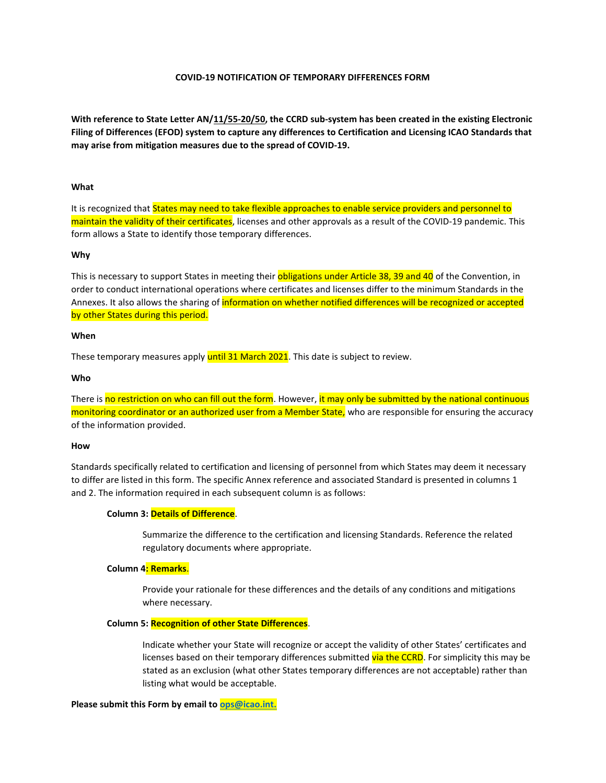# **COVID-19 NOTIFICATION OF TEMPORARY DIFFERENCES FORM**

**With reference to State Letter AN/11/55-20/50, the CCRD sub-system has been created in the existing Electronic Filing of Differences (EFOD) system to capture any differences to Certification and Licensing ICAO Standards that may arise from mitigation measures due to the spread of COVID-19.**

### **What**

It is recognized that States may need to take flexible approaches to enable service providers and personnel to maintain the validity of their certificates, licenses and other approvals as a result of the COVID-19 pandemic. This form allows a State to identify those temporary differences.

#### **Why**

This is necessary to support States in meeting their obligations under Article 38, 39 and 40 of the Convention, in order to conduct international operations where certificates and licenses differ to the minimum Standards in the Annexes. It also allows the sharing of information on whether notified differences will be recognized or accepted by other States during this period.

#### **When**

These temporary measures apply until 31 March 2021. This date is subject to review.

#### **Who**

There is no restriction on who can fill out the form. However, it may only be submitted by the national continuous monitoring coordinator or an authorized user from a Member State, who are responsible for ensuring the accuracy of the information provided.

### **How**

Standards specifically related to certification and licensing of personnel from which States may deem it necessary to differ are listed in this form. The specific Annex reference and associated Standard is presented in columns 1 and 2. The information required in each subsequent column is as follows:

## **Column 3: Details of Difference**.

Summarize the difference to the certification and licensing Standards. Reference the related regulatory documents where appropriate.

# **Column 4: Remarks**.

Provide your rationale for these differences and the details of any conditions and mitigations where necessary.

#### **Column 5: Recognition of other State Differences**.

Indicate whether your State will recognize or accept the validity of other States' certificates and licenses based on their temporary differences submitted via the CCRD. For simplicity this may be stated as an exclusion (what other States temporary differences are not acceptable) rather than listing what would be acceptable.

### **Please submit this Form by email to [ops@icao.int.](mailto:ops@icao.int)**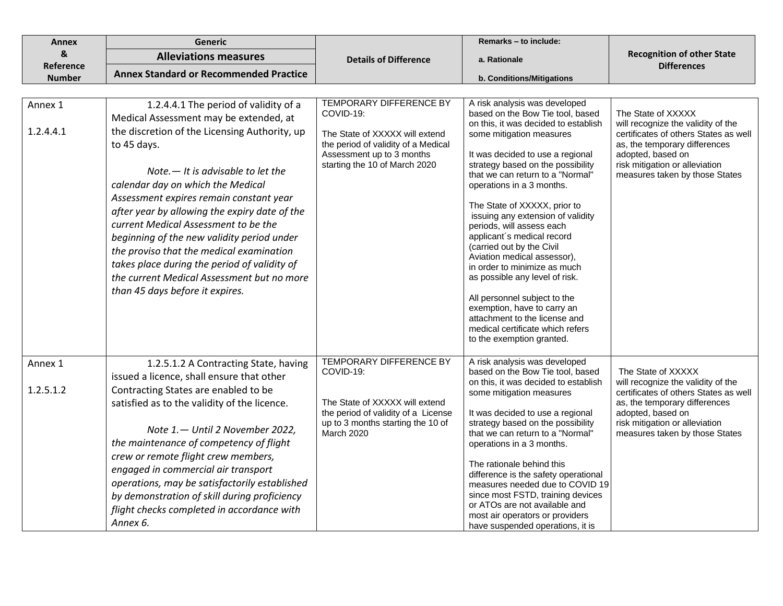| Annex                     | <b>Generic</b>                                                                 |                                                                       | Remarks - to include:                                                   |                                                                        |
|---------------------------|--------------------------------------------------------------------------------|-----------------------------------------------------------------------|-------------------------------------------------------------------------|------------------------------------------------------------------------|
| $\boldsymbol{\mathsf{g}}$ | <b>Alleviations measures</b>                                                   | <b>Details of Difference</b>                                          | a. Rationale                                                            | <b>Recognition of other State</b>                                      |
| Reference                 | <b>Annex Standard or Recommended Practice</b>                                  |                                                                       |                                                                         | <b>Differences</b>                                                     |
| <b>Number</b>             |                                                                                |                                                                       | b. Conditions/Mitigations                                               |                                                                        |
| Annex 1                   | 1.2.4.4.1 The period of validity of a                                          | <b>TEMPORARY DIFFERENCE BY</b>                                        | A risk analysis was developed                                           |                                                                        |
|                           | Medical Assessment may be extended, at                                         | COVID-19:                                                             | based on the Bow Tie tool, based                                        | The State of XXXXX                                                     |
| 1.2.4.4.1                 | the discretion of the Licensing Authority, up                                  |                                                                       | on this, it was decided to establish                                    | will recognize the validity of the                                     |
|                           | to 45 days.                                                                    | The State of XXXXX will extend<br>the period of validity of a Medical | some mitigation measures                                                | certificates of others States as well<br>as, the temporary differences |
|                           |                                                                                | Assessment up to 3 months                                             | It was decided to use a regional                                        | adopted, based on                                                      |
|                           | Note $-$ It is advisable to let the                                            | starting the 10 of March 2020                                         | strategy based on the possibility                                       | risk mitigation or alleviation                                         |
|                           | calendar day on which the Medical                                              |                                                                       | that we can return to a "Normal"<br>operations in a 3 months.           | measures taken by those States                                         |
|                           | Assessment expires remain constant year                                        |                                                                       |                                                                         |                                                                        |
|                           | after year by allowing the expiry date of the                                  |                                                                       | The State of XXXXX, prior to<br>issuing any extension of validity       |                                                                        |
|                           | current Medical Assessment to be the                                           |                                                                       | periods, will assess each                                               |                                                                        |
|                           | beginning of the new validity period under                                     |                                                                       | applicant's medical record                                              |                                                                        |
|                           | the proviso that the medical examination                                       |                                                                       | (carried out by the Civil<br>Aviation medical assessor),                |                                                                        |
|                           | takes place during the period of validity of                                   |                                                                       | in order to minimize as much                                            |                                                                        |
|                           | the current Medical Assessment but no more                                     |                                                                       | as possible any level of risk.                                          |                                                                        |
|                           | than 45 days before it expires.                                                |                                                                       | All personnel subject to the                                            |                                                                        |
|                           |                                                                                |                                                                       | exemption, have to carry an                                             |                                                                        |
|                           |                                                                                |                                                                       | attachment to the license and<br>medical certificate which refers       |                                                                        |
|                           |                                                                                |                                                                       | to the exemption granted.                                               |                                                                        |
|                           |                                                                                |                                                                       |                                                                         |                                                                        |
| Annex 1                   | 1.2.5.1.2 A Contracting State, having                                          | TEMPORARY DIFFERENCE BY<br>COVID-19:                                  | A risk analysis was developed<br>based on the Bow Tie tool, based       | The State of XXXXX                                                     |
|                           | issued a licence, shall ensure that other                                      |                                                                       | on this, it was decided to establish                                    | will recognize the validity of the                                     |
| 1.2.5.1.2                 | Contracting States are enabled to be                                           |                                                                       | some mitigation measures                                                | certificates of others States as well                                  |
|                           | satisfied as to the validity of the licence.                                   | The State of XXXXX will extend<br>the period of validity of a License | It was decided to use a regional                                        | as, the temporary differences<br>adopted, based on                     |
|                           |                                                                                | up to 3 months starting the 10 of                                     | strategy based on the possibility                                       | risk mitigation or alleviation                                         |
|                           | Note 1. - Until 2 November 2022,                                               | March 2020                                                            | that we can return to a "Normal"                                        | measures taken by those States                                         |
|                           | the maintenance of competency of flight<br>crew or remote flight crew members, |                                                                       | operations in a 3 months.                                               |                                                                        |
|                           | engaged in commercial air transport                                            |                                                                       | The rationale behind this                                               |                                                                        |
|                           | operations, may be satisfactorily established                                  |                                                                       | difference is the safety operational<br>measures needed due to COVID 19 |                                                                        |
|                           | by demonstration of skill during proficiency                                   |                                                                       | since most FSTD, training devices                                       |                                                                        |
|                           | flight checks completed in accordance with                                     |                                                                       | or ATOs are not available and                                           |                                                                        |
|                           | Annex 6.                                                                       |                                                                       | most air operators or providers<br>have suspended operations, it is     |                                                                        |
|                           |                                                                                |                                                                       |                                                                         |                                                                        |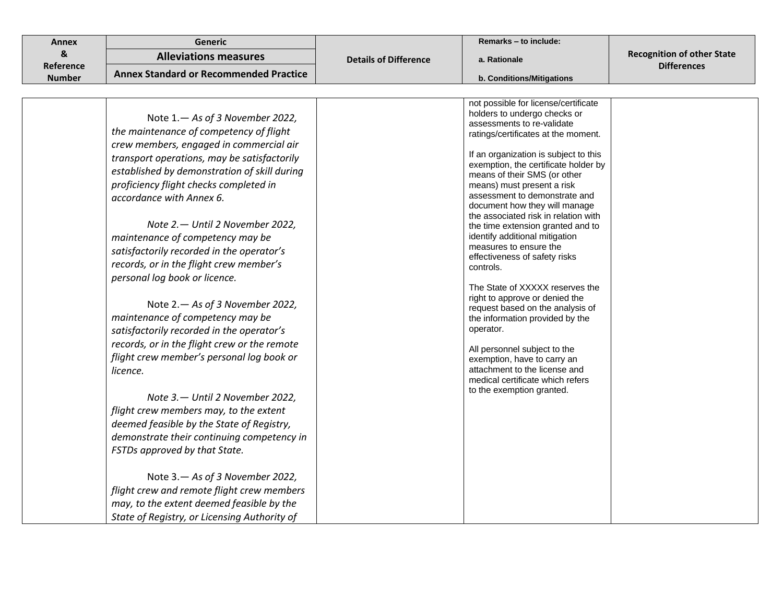| <b>Annex</b>  | Generic                                                                                                                                                                                                                                                                                                                                                                                                                                                                                                                                                                                                                                                                                                                                                                                                                                                                                                                                                                  |                              | Remarks - to include:                                                                                                                                                                                                                                                                                                                                                                                                                                                                                                                                                                                                                                                                                                                                                                                                                                                       |                                   |
|---------------|--------------------------------------------------------------------------------------------------------------------------------------------------------------------------------------------------------------------------------------------------------------------------------------------------------------------------------------------------------------------------------------------------------------------------------------------------------------------------------------------------------------------------------------------------------------------------------------------------------------------------------------------------------------------------------------------------------------------------------------------------------------------------------------------------------------------------------------------------------------------------------------------------------------------------------------------------------------------------|------------------------------|-----------------------------------------------------------------------------------------------------------------------------------------------------------------------------------------------------------------------------------------------------------------------------------------------------------------------------------------------------------------------------------------------------------------------------------------------------------------------------------------------------------------------------------------------------------------------------------------------------------------------------------------------------------------------------------------------------------------------------------------------------------------------------------------------------------------------------------------------------------------------------|-----------------------------------|
| &             | <b>Alleviations measures</b>                                                                                                                                                                                                                                                                                                                                                                                                                                                                                                                                                                                                                                                                                                                                                                                                                                                                                                                                             | <b>Details of Difference</b> | a. Rationale                                                                                                                                                                                                                                                                                                                                                                                                                                                                                                                                                                                                                                                                                                                                                                                                                                                                | <b>Recognition of other State</b> |
| Reference     | <b>Annex Standard or Recommended Practice</b>                                                                                                                                                                                                                                                                                                                                                                                                                                                                                                                                                                                                                                                                                                                                                                                                                                                                                                                            |                              |                                                                                                                                                                                                                                                                                                                                                                                                                                                                                                                                                                                                                                                                                                                                                                                                                                                                             | <b>Differences</b>                |
| <b>Number</b> |                                                                                                                                                                                                                                                                                                                                                                                                                                                                                                                                                                                                                                                                                                                                                                                                                                                                                                                                                                          |                              | b. Conditions/Mitigations                                                                                                                                                                                                                                                                                                                                                                                                                                                                                                                                                                                                                                                                                                                                                                                                                                                   |                                   |
|               |                                                                                                                                                                                                                                                                                                                                                                                                                                                                                                                                                                                                                                                                                                                                                                                                                                                                                                                                                                          |                              |                                                                                                                                                                                                                                                                                                                                                                                                                                                                                                                                                                                                                                                                                                                                                                                                                                                                             |                                   |
|               | Note 1. - As of 3 November 2022,<br>the maintenance of competency of flight<br>crew members, engaged in commercial air<br>transport operations, may be satisfactorily<br>established by demonstration of skill during<br>proficiency flight checks completed in<br>accordance with Annex 6.<br>Note 2. - Until 2 November 2022,<br>maintenance of competency may be<br>satisfactorily recorded in the operator's<br>records, or in the flight crew member's<br>personal log book or licence.<br>Note 2. - As of 3 November 2022,<br>maintenance of competency may be<br>satisfactorily recorded in the operator's<br>records, or in the flight crew or the remote<br>flight crew member's personal log book or<br>licence.<br>Note 3. - Until 2 November 2022,<br>flight crew members may, to the extent<br>deemed feasible by the State of Registry,<br>demonstrate their continuing competency in<br>FSTDs approved by that State.<br>Note 3. - As of 3 November 2022, |                              | not possible for license/certificate<br>holders to undergo checks or<br>assessments to re-validate<br>ratings/certificates at the moment.<br>If an organization is subject to this<br>exemption, the certificate holder by<br>means of their SMS (or other<br>means) must present a risk<br>assessment to demonstrate and<br>document how they will manage<br>the associated risk in relation with<br>the time extension granted and to<br>identify additional mitigation<br>measures to ensure the<br>effectiveness of safety risks<br>controls.<br>The State of XXXXX reserves the<br>right to approve or denied the<br>request based on the analysis of<br>the information provided by the<br>operator.<br>All personnel subject to the<br>exemption, have to carry an<br>attachment to the license and<br>medical certificate which refers<br>to the exemption granted. |                                   |
|               | flight crew and remote flight crew members                                                                                                                                                                                                                                                                                                                                                                                                                                                                                                                                                                                                                                                                                                                                                                                                                                                                                                                               |                              |                                                                                                                                                                                                                                                                                                                                                                                                                                                                                                                                                                                                                                                                                                                                                                                                                                                                             |                                   |
|               | may, to the extent deemed feasible by the                                                                                                                                                                                                                                                                                                                                                                                                                                                                                                                                                                                                                                                                                                                                                                                                                                                                                                                                |                              |                                                                                                                                                                                                                                                                                                                                                                                                                                                                                                                                                                                                                                                                                                                                                                                                                                                                             |                                   |
|               | State of Registry, or Licensing Authority of                                                                                                                                                                                                                                                                                                                                                                                                                                                                                                                                                                                                                                                                                                                                                                                                                                                                                                                             |                              |                                                                                                                                                                                                                                                                                                                                                                                                                                                                                                                                                                                                                                                                                                                                                                                                                                                                             |                                   |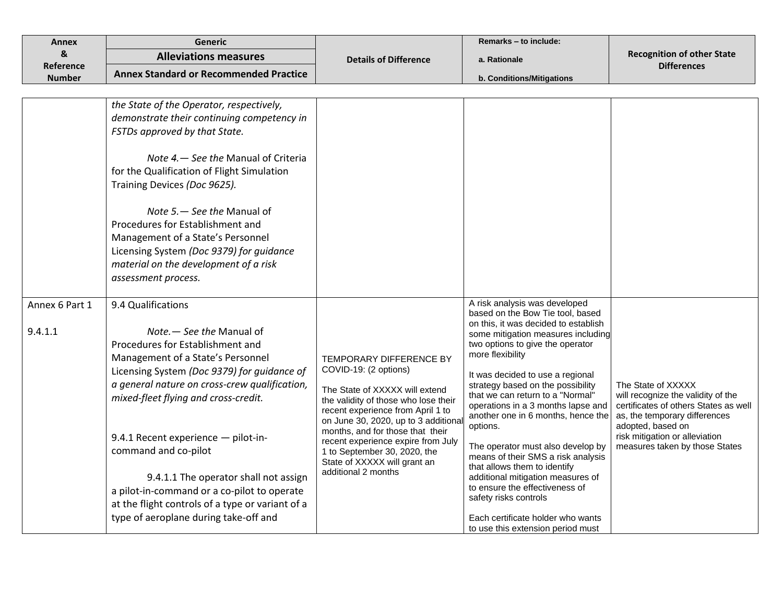| <b>Annex</b>              | <b>Generic</b>                                                                                                                                                                                                                                                                                                                                                                                                                                                                                                       |                                                                                                                                                                                                                                                                                                                                                                                | Remarks - to include:                                                                                                                                                                                                                                                                                                                                                                                                                                                                                                                                                                                                                                                                             |                                                                                                                                                                                                                             |
|---------------------------|----------------------------------------------------------------------------------------------------------------------------------------------------------------------------------------------------------------------------------------------------------------------------------------------------------------------------------------------------------------------------------------------------------------------------------------------------------------------------------------------------------------------|--------------------------------------------------------------------------------------------------------------------------------------------------------------------------------------------------------------------------------------------------------------------------------------------------------------------------------------------------------------------------------|---------------------------------------------------------------------------------------------------------------------------------------------------------------------------------------------------------------------------------------------------------------------------------------------------------------------------------------------------------------------------------------------------------------------------------------------------------------------------------------------------------------------------------------------------------------------------------------------------------------------------------------------------------------------------------------------------|-----------------------------------------------------------------------------------------------------------------------------------------------------------------------------------------------------------------------------|
| &                         | <b>Alleviations measures</b>                                                                                                                                                                                                                                                                                                                                                                                                                                                                                         | <b>Details of Difference</b>                                                                                                                                                                                                                                                                                                                                                   | a. Rationale                                                                                                                                                                                                                                                                                                                                                                                                                                                                                                                                                                                                                                                                                      | <b>Recognition of other State</b>                                                                                                                                                                                           |
| Reference                 | <b>Annex Standard or Recommended Practice</b>                                                                                                                                                                                                                                                                                                                                                                                                                                                                        |                                                                                                                                                                                                                                                                                                                                                                                |                                                                                                                                                                                                                                                                                                                                                                                                                                                                                                                                                                                                                                                                                                   | <b>Differences</b>                                                                                                                                                                                                          |
| <b>Number</b>             |                                                                                                                                                                                                                                                                                                                                                                                                                                                                                                                      |                                                                                                                                                                                                                                                                                                                                                                                | b. Conditions/Mitigations                                                                                                                                                                                                                                                                                                                                                                                                                                                                                                                                                                                                                                                                         |                                                                                                                                                                                                                             |
|                           | the State of the Operator, respectively,<br>demonstrate their continuing competency in<br>FSTDs approved by that State.<br>Note 4. - See the Manual of Criteria<br>for the Qualification of Flight Simulation<br>Training Devices (Doc 9625).<br>Note 5. - See the Manual of<br>Procedures for Establishment and<br>Management of a State's Personnel<br>Licensing System (Doc 9379) for guidance<br>material on the development of a risk<br>assessment process.                                                    |                                                                                                                                                                                                                                                                                                                                                                                |                                                                                                                                                                                                                                                                                                                                                                                                                                                                                                                                                                                                                                                                                                   |                                                                                                                                                                                                                             |
| Annex 6 Part 1<br>9.4.1.1 | 9.4 Qualifications<br>Note. - See the Manual of<br>Procedures for Establishment and<br>Management of a State's Personnel<br>Licensing System (Doc 9379) for guidance of<br>a general nature on cross-crew qualification,<br>mixed-fleet flying and cross-credit.<br>9.4.1 Recent experience - pilot-in-<br>command and co-pilot<br>9.4.1.1 The operator shall not assign<br>a pilot-in-command or a co-pilot to operate<br>at the flight controls of a type or variant of a<br>type of aeroplane during take-off and | <b>TEMPORARY DIFFERENCE BY</b><br>COVID-19: (2 options)<br>The State of XXXXX will extend<br>the validity of those who lose their<br>recent experience from April 1 to<br>on June 30, 2020, up to 3 additiona<br>months, and for those that their<br>recent experience expire from July<br>1 to September 30, 2020, the<br>State of XXXXX will grant an<br>additional 2 months | A risk analysis was developed<br>based on the Bow Tie tool, based<br>on this, it was decided to establish<br>some mitigation measures including<br>two options to give the operator<br>more flexibility<br>It was decided to use a regional<br>strategy based on the possibility<br>that we can return to a "Normal"<br>operations in a 3 months lapse and<br>another one in 6 months, hence the<br>options.<br>The operator must also develop by<br>means of their SMS a risk analysis<br>that allows them to identify<br>additional mitigation measures of<br>to ensure the effectiveness of<br>safety risks controls<br>Each certificate holder who wants<br>to use this extension period must | The State of XXXXX<br>will recognize the validity of the<br>certificates of others States as well<br>as, the temporary differences<br>adopted, based on<br>risk mitigation or alleviation<br>measures taken by those States |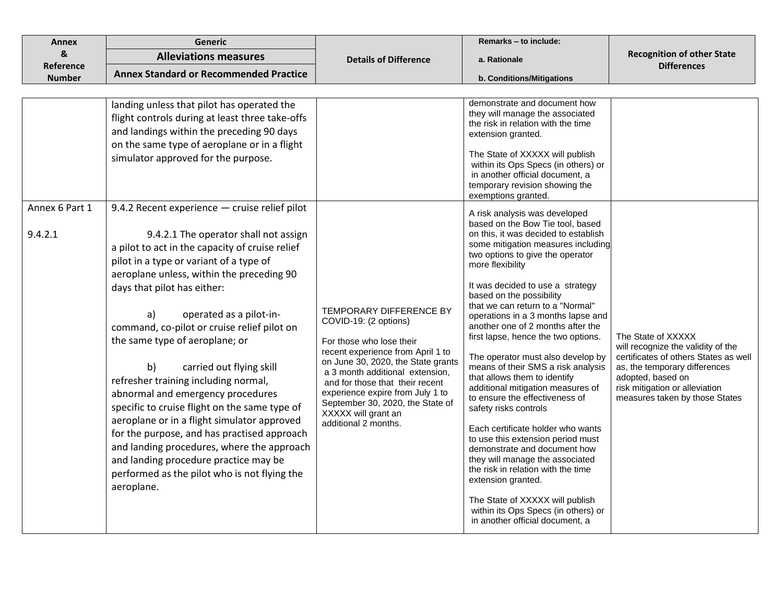| <b>Annex</b>   | Generic                                                                                                                                                                                                                                                                                                                                                                                                                                                                                                                                                                                                                                                                                                                                              |                                                                                                                                                                                                                                                                                                                                                      | Remarks - to include:                                                                                                                                                                                                                                                                                                                                                                                                                                                                                                                                                                                                                                                                                                                                                                                                                                                                     |                                                                                                                                                                                                                             |
|----------------|------------------------------------------------------------------------------------------------------------------------------------------------------------------------------------------------------------------------------------------------------------------------------------------------------------------------------------------------------------------------------------------------------------------------------------------------------------------------------------------------------------------------------------------------------------------------------------------------------------------------------------------------------------------------------------------------------------------------------------------------------|------------------------------------------------------------------------------------------------------------------------------------------------------------------------------------------------------------------------------------------------------------------------------------------------------------------------------------------------------|-------------------------------------------------------------------------------------------------------------------------------------------------------------------------------------------------------------------------------------------------------------------------------------------------------------------------------------------------------------------------------------------------------------------------------------------------------------------------------------------------------------------------------------------------------------------------------------------------------------------------------------------------------------------------------------------------------------------------------------------------------------------------------------------------------------------------------------------------------------------------------------------|-----------------------------------------------------------------------------------------------------------------------------------------------------------------------------------------------------------------------------|
| &              | <b>Alleviations measures</b>                                                                                                                                                                                                                                                                                                                                                                                                                                                                                                                                                                                                                                                                                                                         | <b>Details of Difference</b>                                                                                                                                                                                                                                                                                                                         | a. Rationale                                                                                                                                                                                                                                                                                                                                                                                                                                                                                                                                                                                                                                                                                                                                                                                                                                                                              | <b>Recognition of other State</b>                                                                                                                                                                                           |
| Reference      | <b>Annex Standard or Recommended Practice</b>                                                                                                                                                                                                                                                                                                                                                                                                                                                                                                                                                                                                                                                                                                        |                                                                                                                                                                                                                                                                                                                                                      |                                                                                                                                                                                                                                                                                                                                                                                                                                                                                                                                                                                                                                                                                                                                                                                                                                                                                           | <b>Differences</b>                                                                                                                                                                                                          |
| <b>Number</b>  |                                                                                                                                                                                                                                                                                                                                                                                                                                                                                                                                                                                                                                                                                                                                                      |                                                                                                                                                                                                                                                                                                                                                      | b. Conditions/Mitigations                                                                                                                                                                                                                                                                                                                                                                                                                                                                                                                                                                                                                                                                                                                                                                                                                                                                 |                                                                                                                                                                                                                             |
| Annex 6 Part 1 | landing unless that pilot has operated the<br>flight controls during at least three take-offs<br>and landings within the preceding 90 days<br>on the same type of aeroplane or in a flight<br>simulator approved for the purpose.<br>9.4.2 Recent experience - cruise relief pilot                                                                                                                                                                                                                                                                                                                                                                                                                                                                   |                                                                                                                                                                                                                                                                                                                                                      | demonstrate and document how<br>they will manage the associated<br>the risk in relation with the time<br>extension granted.<br>The State of XXXXX will publish<br>within its Ops Specs (in others) or<br>in another official document, a<br>temporary revision showing the<br>exemptions granted.<br>A risk analysis was developed<br>based on the Bow Tie tool, based                                                                                                                                                                                                                                                                                                                                                                                                                                                                                                                    |                                                                                                                                                                                                                             |
| 9.4.2.1        | 9.4.2.1 The operator shall not assign<br>a pilot to act in the capacity of cruise relief<br>pilot in a type or variant of a type of<br>aeroplane unless, within the preceding 90<br>days that pilot has either:<br>operated as a pilot-in-<br>a)<br>command, co-pilot or cruise relief pilot on<br>the same type of aeroplane; or<br>carried out flying skill<br>b)<br>refresher training including normal,<br>abnormal and emergency procedures<br>specific to cruise flight on the same type of<br>aeroplane or in a flight simulator approved<br>for the purpose, and has practised approach<br>and landing procedures, where the approach<br>and landing procedure practice may be<br>performed as the pilot who is not flying the<br>aeroplane. | TEMPORARY DIFFERENCE BY<br>COVID-19: (2 options)<br>For those who lose their<br>recent experience from April 1 to<br>on June 30, 2020, the State grants<br>a 3 month additional extension,<br>and for those that their recent<br>experience expire from July 1 to<br>September 30, 2020, the State of<br>XXXXX will grant an<br>additional 2 months. | on this, it was decided to establish<br>some mitigation measures including<br>two options to give the operator<br>more flexibility<br>It was decided to use a strategy<br>based on the possibility<br>that we can return to a "Normal"<br>operations in a 3 months lapse and<br>another one of 2 months after the<br>first lapse, hence the two options.<br>The operator must also develop by<br>means of their SMS a risk analysis<br>that allows them to identify<br>additional mitigation measures of<br>to ensure the effectiveness of<br>safety risks controls<br>Each certificate holder who wants<br>to use this extension period must<br>demonstrate and document how<br>they will manage the associated<br>the risk in relation with the time<br>extension granted.<br>The State of XXXXX will publish<br>within its Ops Specs (in others) or<br>in another official document, a | The State of XXXXX<br>will recognize the validity of the<br>certificates of others States as well<br>as, the temporary differences<br>adopted, based on<br>risk mitigation or alleviation<br>measures taken by those States |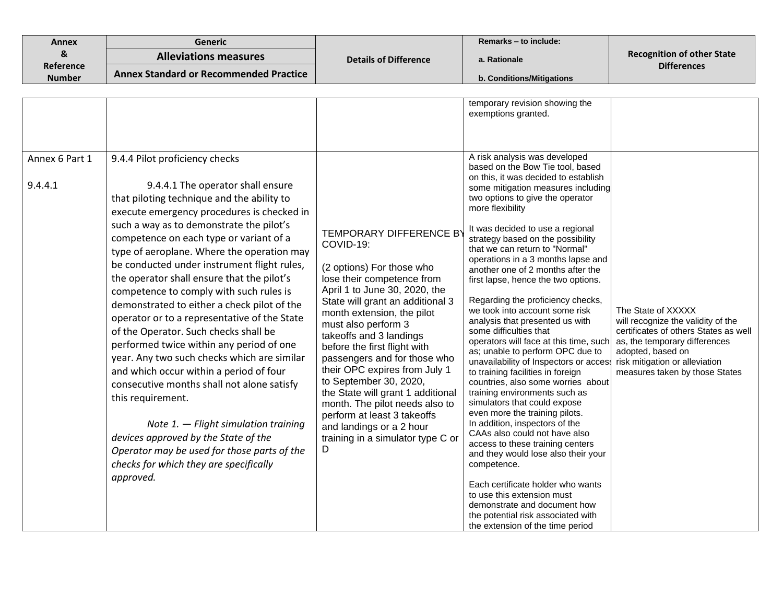| <b>Annex</b>               | <b>Generic</b>                                                                                                                                                                                                                                                                                                                                                                                                                                                                                                                                                                                                                                                                                                                                                                                                                                                                                                                                                                        |                                                                                                                                                                                                                                                                                                                                                                                                                                                                                                                                                                   | Remarks - to include:                                                                                                                                                                                                                                                                                                                                                                                                                                                                                                                                                                                                                                                                                                                                                                                                                                                                                                                                                                                                                                                                                                                                                                                                    |                                                                                                                                                                                                                             |
|----------------------------|---------------------------------------------------------------------------------------------------------------------------------------------------------------------------------------------------------------------------------------------------------------------------------------------------------------------------------------------------------------------------------------------------------------------------------------------------------------------------------------------------------------------------------------------------------------------------------------------------------------------------------------------------------------------------------------------------------------------------------------------------------------------------------------------------------------------------------------------------------------------------------------------------------------------------------------------------------------------------------------|-------------------------------------------------------------------------------------------------------------------------------------------------------------------------------------------------------------------------------------------------------------------------------------------------------------------------------------------------------------------------------------------------------------------------------------------------------------------------------------------------------------------------------------------------------------------|--------------------------------------------------------------------------------------------------------------------------------------------------------------------------------------------------------------------------------------------------------------------------------------------------------------------------------------------------------------------------------------------------------------------------------------------------------------------------------------------------------------------------------------------------------------------------------------------------------------------------------------------------------------------------------------------------------------------------------------------------------------------------------------------------------------------------------------------------------------------------------------------------------------------------------------------------------------------------------------------------------------------------------------------------------------------------------------------------------------------------------------------------------------------------------------------------------------------------|-----------------------------------------------------------------------------------------------------------------------------------------------------------------------------------------------------------------------------|
| &                          | <b>Alleviations measures</b>                                                                                                                                                                                                                                                                                                                                                                                                                                                                                                                                                                                                                                                                                                                                                                                                                                                                                                                                                          | <b>Details of Difference</b>                                                                                                                                                                                                                                                                                                                                                                                                                                                                                                                                      | a. Rationale                                                                                                                                                                                                                                                                                                                                                                                                                                                                                                                                                                                                                                                                                                                                                                                                                                                                                                                                                                                                                                                                                                                                                                                                             | <b>Recognition of other State</b><br><b>Differences</b>                                                                                                                                                                     |
| Reference<br><b>Number</b> | <b>Annex Standard or Recommended Practice</b>                                                                                                                                                                                                                                                                                                                                                                                                                                                                                                                                                                                                                                                                                                                                                                                                                                                                                                                                         |                                                                                                                                                                                                                                                                                                                                                                                                                                                                                                                                                                   | b. Conditions/Mitigations                                                                                                                                                                                                                                                                                                                                                                                                                                                                                                                                                                                                                                                                                                                                                                                                                                                                                                                                                                                                                                                                                                                                                                                                |                                                                                                                                                                                                                             |
|                            |                                                                                                                                                                                                                                                                                                                                                                                                                                                                                                                                                                                                                                                                                                                                                                                                                                                                                                                                                                                       |                                                                                                                                                                                                                                                                                                                                                                                                                                                                                                                                                                   |                                                                                                                                                                                                                                                                                                                                                                                                                                                                                                                                                                                                                                                                                                                                                                                                                                                                                                                                                                                                                                                                                                                                                                                                                          |                                                                                                                                                                                                                             |
|                            |                                                                                                                                                                                                                                                                                                                                                                                                                                                                                                                                                                                                                                                                                                                                                                                                                                                                                                                                                                                       |                                                                                                                                                                                                                                                                                                                                                                                                                                                                                                                                                                   | temporary revision showing the<br>exemptions granted.                                                                                                                                                                                                                                                                                                                                                                                                                                                                                                                                                                                                                                                                                                                                                                                                                                                                                                                                                                                                                                                                                                                                                                    |                                                                                                                                                                                                                             |
| Annex 6 Part 1<br>9.4.4.1  | 9.4.4 Pilot proficiency checks<br>9.4.4.1 The operator shall ensure<br>that piloting technique and the ability to<br>execute emergency procedures is checked in<br>such a way as to demonstrate the pilot's<br>competence on each type or variant of a<br>type of aeroplane. Where the operation may<br>be conducted under instrument flight rules,<br>the operator shall ensure that the pilot's<br>competence to comply with such rules is<br>demonstrated to either a check pilot of the<br>operator or to a representative of the State<br>of the Operator. Such checks shall be<br>performed twice within any period of one<br>year. Any two such checks which are similar<br>and which occur within a period of four<br>consecutive months shall not alone satisfy<br>this requirement.<br>Note 1. $-$ Flight simulation training<br>devices approved by the State of the<br>Operator may be used for those parts of the<br>checks for which they are specifically<br>approved. | <b>TEMPORARY DIFFERENCE B</b><br>COVID-19:<br>(2 options) For those who<br>lose their competence from<br>April 1 to June 30, 2020, the<br>State will grant an additional 3<br>month extension, the pilot<br>must also perform 3<br>takeoffs and 3 landings<br>before the first flight with<br>passengers and for those who<br>their OPC expires from July 1<br>to September 30, 2020,<br>the State will grant 1 additional<br>month. The pilot needs also to<br>perform at least 3 takeoffs<br>and landings or a 2 hour<br>training in a simulator type C or<br>D | A risk analysis was developed<br>based on the Bow Tie tool, based<br>on this, it was decided to establish<br>some mitigation measures including<br>two options to give the operator<br>more flexibility<br>It was decided to use a regional<br>strategy based on the possibility<br>that we can return to "Normal"<br>operations in a 3 months lapse and<br>another one of 2 months after the<br>first lapse, hence the two options.<br>Regarding the proficiency checks,<br>we took into account some risk<br>analysis that presented us with<br>some difficulties that<br>operators will face at this time, such<br>as; unable to perform OPC due to<br>unavailability of Inspectors or access<br>to training facilities in foreign<br>countries, also some worries about<br>training environments such as<br>simulators that could expose<br>even more the training pilots.<br>In addition, inspectors of the<br>CAAs also could not have also<br>access to these training centers<br>and they would lose also their your<br>competence.<br>Each certificate holder who wants<br>to use this extension must<br>demonstrate and document how<br>the potential risk associated with<br>the extension of the time period | The State of XXXXX<br>will recognize the validity of the<br>certificates of others States as well<br>as, the temporary differences<br>adopted, based on<br>risk mitigation or alleviation<br>measures taken by those States |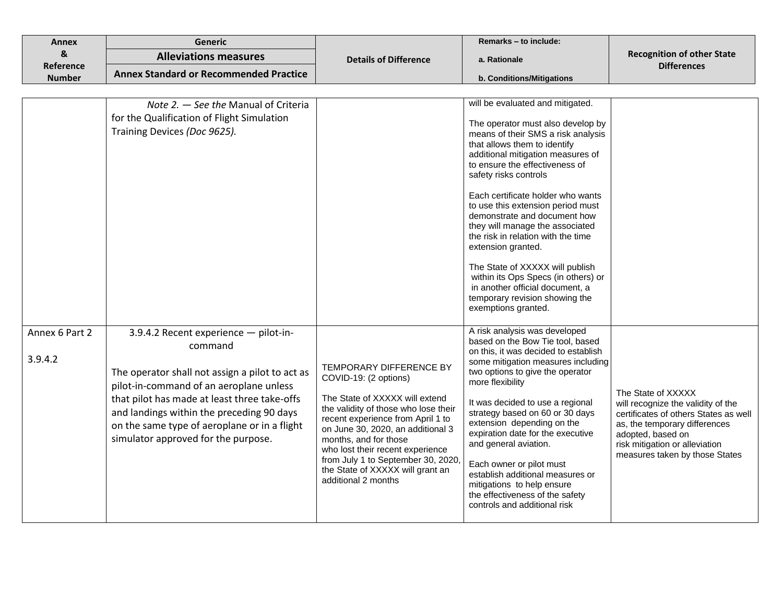| <b>Annex</b>               | Generic                                                                                                                                                                                                                                                                                                                            |                                                                                                                                                                                                                                                                                                                                                                    | Remarks - to include:                                                                                                                                                                                                                                                                                                                                                                                                                                                                                                                                                                                                      |                                                                                                                                                                                                                             |
|----------------------------|------------------------------------------------------------------------------------------------------------------------------------------------------------------------------------------------------------------------------------------------------------------------------------------------------------------------------------|--------------------------------------------------------------------------------------------------------------------------------------------------------------------------------------------------------------------------------------------------------------------------------------------------------------------------------------------------------------------|----------------------------------------------------------------------------------------------------------------------------------------------------------------------------------------------------------------------------------------------------------------------------------------------------------------------------------------------------------------------------------------------------------------------------------------------------------------------------------------------------------------------------------------------------------------------------------------------------------------------------|-----------------------------------------------------------------------------------------------------------------------------------------------------------------------------------------------------------------------------|
| &                          | <b>Alleviations measures</b>                                                                                                                                                                                                                                                                                                       | <b>Details of Difference</b>                                                                                                                                                                                                                                                                                                                                       | a. Rationale                                                                                                                                                                                                                                                                                                                                                                                                                                                                                                                                                                                                               | <b>Recognition of other State</b>                                                                                                                                                                                           |
| Reference<br><b>Number</b> | <b>Annex Standard or Recommended Practice</b>                                                                                                                                                                                                                                                                                      |                                                                                                                                                                                                                                                                                                                                                                    | b. Conditions/Mitigations                                                                                                                                                                                                                                                                                                                                                                                                                                                                                                                                                                                                  | <b>Differences</b>                                                                                                                                                                                                          |
|                            |                                                                                                                                                                                                                                                                                                                                    |                                                                                                                                                                                                                                                                                                                                                                    |                                                                                                                                                                                                                                                                                                                                                                                                                                                                                                                                                                                                                            |                                                                                                                                                                                                                             |
|                            | Note 2. - See the Manual of Criteria<br>for the Qualification of Flight Simulation<br>Training Devices (Doc 9625).                                                                                                                                                                                                                 |                                                                                                                                                                                                                                                                                                                                                                    | will be evaluated and mitigated.<br>The operator must also develop by<br>means of their SMS a risk analysis<br>that allows them to identify<br>additional mitigation measures of<br>to ensure the effectiveness of<br>safety risks controls<br>Each certificate holder who wants<br>to use this extension period must<br>demonstrate and document how<br>they will manage the associated<br>the risk in relation with the time<br>extension granted.<br>The State of XXXXX will publish<br>within its Ops Specs (in others) or<br>in another official document, a<br>temporary revision showing the<br>exemptions granted. |                                                                                                                                                                                                                             |
| Annex 6 Part 2<br>3.9.4.2  | 3.9.4.2 Recent experience - pilot-in-<br>command<br>The operator shall not assign a pilot to act as<br>pilot-in-command of an aeroplane unless<br>that pilot has made at least three take-offs<br>and landings within the preceding 90 days<br>on the same type of aeroplane or in a flight<br>simulator approved for the purpose. | TEMPORARY DIFFERENCE BY<br>COVID-19: (2 options)<br>The State of XXXXX will extend<br>the validity of those who lose their<br>recent experience from April 1 to<br>on June 30, 2020, an additional 3<br>months, and for those<br>who lost their recent experience<br>from July 1 to September 30, 2020,<br>the State of XXXXX will grant an<br>additional 2 months | A risk analysis was developed<br>based on the Bow Tie tool, based<br>on this, it was decided to establish<br>some mitigation measures including<br>two options to give the operator<br>more flexibility<br>It was decided to use a regional<br>strategy based on 60 or 30 days<br>extension depending on the<br>expiration date for the executive<br>and general aviation.<br>Each owner or pilot must<br>establish additional measures or<br>mitigations to help ensure<br>the effectiveness of the safety<br>controls and additional risk                                                                                | The State of XXXXX<br>will recognize the validity of the<br>certificates of others States as well<br>as, the temporary differences<br>adopted, based on<br>risk mitigation or alleviation<br>measures taken by those States |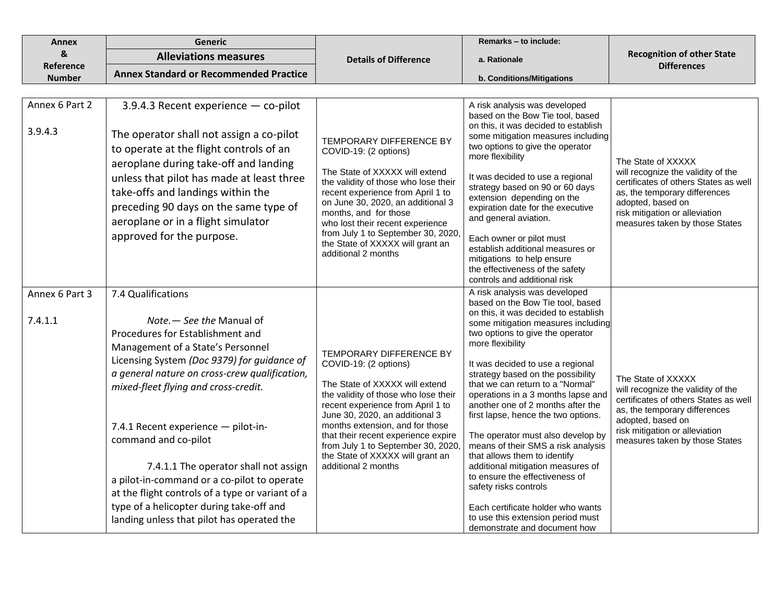| <b>Annex</b>               | <b>Generic</b>                                                                                                                                                                                                                                                                                                                                                                                                                                                                                                                                                        |                                                                                                                                                                                                                                                                                                                                                                                     | Remarks - to include:                                                                                                                                                                                                                                                                                                                                                                                                                                                                                                                                                                                                                                                                                                                                       |                                                                                                                                                                                                                             |
|----------------------------|-----------------------------------------------------------------------------------------------------------------------------------------------------------------------------------------------------------------------------------------------------------------------------------------------------------------------------------------------------------------------------------------------------------------------------------------------------------------------------------------------------------------------------------------------------------------------|-------------------------------------------------------------------------------------------------------------------------------------------------------------------------------------------------------------------------------------------------------------------------------------------------------------------------------------------------------------------------------------|-------------------------------------------------------------------------------------------------------------------------------------------------------------------------------------------------------------------------------------------------------------------------------------------------------------------------------------------------------------------------------------------------------------------------------------------------------------------------------------------------------------------------------------------------------------------------------------------------------------------------------------------------------------------------------------------------------------------------------------------------------------|-----------------------------------------------------------------------------------------------------------------------------------------------------------------------------------------------------------------------------|
| &                          | <b>Alleviations measures</b>                                                                                                                                                                                                                                                                                                                                                                                                                                                                                                                                          | <b>Details of Difference</b>                                                                                                                                                                                                                                                                                                                                                        | a. Rationale                                                                                                                                                                                                                                                                                                                                                                                                                                                                                                                                                                                                                                                                                                                                                | <b>Recognition of other State</b>                                                                                                                                                                                           |
| Reference<br><b>Number</b> | <b>Annex Standard or Recommended Practice</b>                                                                                                                                                                                                                                                                                                                                                                                                                                                                                                                         |                                                                                                                                                                                                                                                                                                                                                                                     | b. Conditions/Mitigations                                                                                                                                                                                                                                                                                                                                                                                                                                                                                                                                                                                                                                                                                                                                   | <b>Differences</b>                                                                                                                                                                                                          |
|                            |                                                                                                                                                                                                                                                                                                                                                                                                                                                                                                                                                                       |                                                                                                                                                                                                                                                                                                                                                                                     |                                                                                                                                                                                                                                                                                                                                                                                                                                                                                                                                                                                                                                                                                                                                                             |                                                                                                                                                                                                                             |
| Annex 6 Part 2<br>3.9.4.3  | 3.9.4.3 Recent experience - co-pilot<br>The operator shall not assign a co-pilot<br>to operate at the flight controls of an<br>aeroplane during take-off and landing<br>unless that pilot has made at least three<br>take-offs and landings within the<br>preceding 90 days on the same type of<br>aeroplane or in a flight simulator<br>approved for the purpose.                                                                                                                                                                                                    | TEMPORARY DIFFERENCE BY<br>COVID-19: (2 options)<br>The State of XXXXX will extend<br>the validity of those who lose their<br>recent experience from April 1 to<br>on June 30, 2020, an additional 3<br>months, and for those<br>who lost their recent experience<br>from July 1 to September 30, 2020,<br>the State of XXXXX will grant an<br>additional 2 months                  | A risk analysis was developed<br>based on the Bow Tie tool, based<br>on this, it was decided to establish<br>some mitigation measures including<br>two options to give the operator<br>more flexibility<br>It was decided to use a regional<br>strategy based on 90 or 60 days<br>extension depending on the<br>expiration date for the executive<br>and general aviation.<br>Each owner or pilot must<br>establish additional measures or<br>mitigations to help ensure<br>the effectiveness of the safety<br>controls and additional risk                                                                                                                                                                                                                 | The State of XXXXX<br>will recognize the validity of the<br>certificates of others States as well<br>as, the temporary differences<br>adopted, based on<br>risk mitigation or alleviation<br>measures taken by those States |
| Annex 6 Part 3<br>7.4.1.1  | 7.4 Qualifications<br>Note. - See the Manual of<br>Procedures for Establishment and<br>Management of a State's Personnel<br>Licensing System (Doc 9379) for guidance of<br>a general nature on cross-crew qualification,<br>mixed-fleet flying and cross-credit.<br>7.4.1 Recent experience - pilot-in-<br>command and co-pilot<br>7.4.1.1 The operator shall not assign<br>a pilot-in-command or a co-pilot to operate<br>at the flight controls of a type or variant of a<br>type of a helicopter during take-off and<br>landing unless that pilot has operated the | <b>TEMPORARY DIFFERENCE BY</b><br>COVID-19: (2 options)<br>The State of XXXXX will extend<br>the validity of those who lose their<br>recent experience from April 1 to<br>June 30, 2020, an additional 3<br>months extension, and for those<br>that their recent experience expire<br>from July 1 to September 30, 2020,<br>the State of XXXXX will grant an<br>additional 2 months | A risk analysis was developed<br>based on the Bow Tie tool, based<br>on this, it was decided to establish<br>some mitigation measures including<br>two options to give the operator<br>more flexibility<br>It was decided to use a regional<br>strategy based on the possibility<br>that we can return to a "Normal"<br>operations in a 3 months lapse and<br>another one of 2 months after the<br>first lapse, hence the two options.<br>The operator must also develop by<br>means of their SMS a risk analysis<br>that allows them to identify<br>additional mitigation measures of<br>to ensure the effectiveness of<br>safety risks controls<br>Each certificate holder who wants<br>to use this extension period must<br>demonstrate and document how | The State of XXXXX<br>will recognize the validity of the<br>certificates of others States as well<br>as, the temporary differences<br>adopted, based on<br>risk mitigation or alleviation<br>measures taken by those States |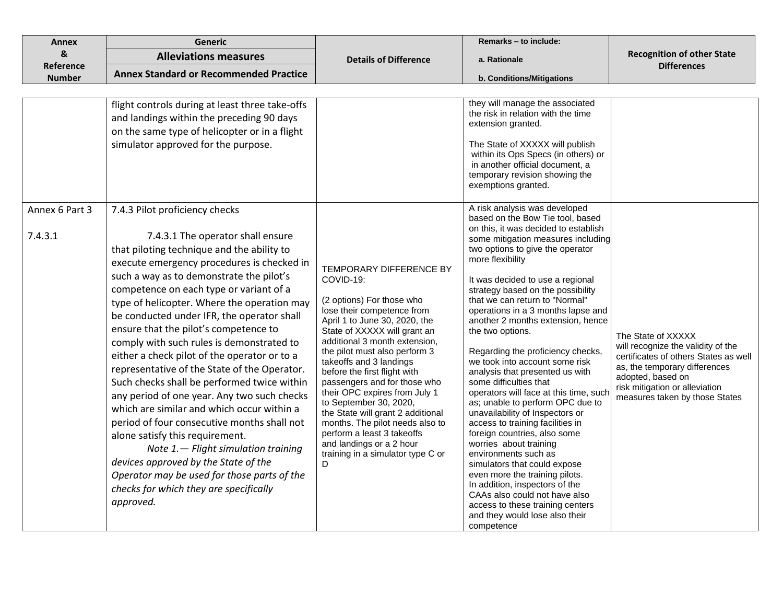| <b>Annex</b>              | <b>Generic</b>                                                                                                                                                                                                                                                                                                                                                                                                                                                                                                                                                                                                                                                                                                                                                                                                                                                                                                                                                |                                                                                                                                                                                                                                                                                                                                                                                                                                                                                                                                                                             | Remarks - to include:                                                                                                                                                                                                                                                                                                                                                                                                                                                                                                                                                                                                                                                                                                                                                                                                                                                                                                                                                                                                 |                                                                                                                                                                                                                             |
|---------------------------|---------------------------------------------------------------------------------------------------------------------------------------------------------------------------------------------------------------------------------------------------------------------------------------------------------------------------------------------------------------------------------------------------------------------------------------------------------------------------------------------------------------------------------------------------------------------------------------------------------------------------------------------------------------------------------------------------------------------------------------------------------------------------------------------------------------------------------------------------------------------------------------------------------------------------------------------------------------|-----------------------------------------------------------------------------------------------------------------------------------------------------------------------------------------------------------------------------------------------------------------------------------------------------------------------------------------------------------------------------------------------------------------------------------------------------------------------------------------------------------------------------------------------------------------------------|-----------------------------------------------------------------------------------------------------------------------------------------------------------------------------------------------------------------------------------------------------------------------------------------------------------------------------------------------------------------------------------------------------------------------------------------------------------------------------------------------------------------------------------------------------------------------------------------------------------------------------------------------------------------------------------------------------------------------------------------------------------------------------------------------------------------------------------------------------------------------------------------------------------------------------------------------------------------------------------------------------------------------|-----------------------------------------------------------------------------------------------------------------------------------------------------------------------------------------------------------------------------|
| &                         | <b>Alleviations measures</b>                                                                                                                                                                                                                                                                                                                                                                                                                                                                                                                                                                                                                                                                                                                                                                                                                                                                                                                                  | <b>Details of Difference</b>                                                                                                                                                                                                                                                                                                                                                                                                                                                                                                                                                | a. Rationale                                                                                                                                                                                                                                                                                                                                                                                                                                                                                                                                                                                                                                                                                                                                                                                                                                                                                                                                                                                                          | <b>Recognition of other State</b>                                                                                                                                                                                           |
| Reference                 | <b>Annex Standard or Recommended Practice</b>                                                                                                                                                                                                                                                                                                                                                                                                                                                                                                                                                                                                                                                                                                                                                                                                                                                                                                                 |                                                                                                                                                                                                                                                                                                                                                                                                                                                                                                                                                                             |                                                                                                                                                                                                                                                                                                                                                                                                                                                                                                                                                                                                                                                                                                                                                                                                                                                                                                                                                                                                                       | <b>Differences</b>                                                                                                                                                                                                          |
| <b>Number</b>             |                                                                                                                                                                                                                                                                                                                                                                                                                                                                                                                                                                                                                                                                                                                                                                                                                                                                                                                                                               |                                                                                                                                                                                                                                                                                                                                                                                                                                                                                                                                                                             | b. Conditions/Mitigations                                                                                                                                                                                                                                                                                                                                                                                                                                                                                                                                                                                                                                                                                                                                                                                                                                                                                                                                                                                             |                                                                                                                                                                                                                             |
|                           | flight controls during at least three take-offs<br>and landings within the preceding 90 days<br>on the same type of helicopter or in a flight<br>simulator approved for the purpose.                                                                                                                                                                                                                                                                                                                                                                                                                                                                                                                                                                                                                                                                                                                                                                          |                                                                                                                                                                                                                                                                                                                                                                                                                                                                                                                                                                             | they will manage the associated<br>the risk in relation with the time<br>extension granted.<br>The State of XXXXX will publish<br>within its Ops Specs (in others) or<br>in another official document, a<br>temporary revision showing the<br>exemptions granted.                                                                                                                                                                                                                                                                                                                                                                                                                                                                                                                                                                                                                                                                                                                                                     |                                                                                                                                                                                                                             |
| Annex 6 Part 3<br>7.4.3.1 | 7.4.3 Pilot proficiency checks<br>7.4.3.1 The operator shall ensure<br>that piloting technique and the ability to<br>execute emergency procedures is checked in<br>such a way as to demonstrate the pilot's<br>competence on each type or variant of a<br>type of helicopter. Where the operation may<br>be conducted under IFR, the operator shall<br>ensure that the pilot's competence to<br>comply with such rules is demonstrated to<br>either a check pilot of the operator or to a<br>representative of the State of the Operator.<br>Such checks shall be performed twice within<br>any period of one year. Any two such checks<br>which are similar and which occur within a<br>period of four consecutive months shall not<br>alone satisfy this requirement.<br>Note 1. - Flight simulation training<br>devices approved by the State of the<br>Operator may be used for those parts of the<br>checks for which they are specifically<br>approved. | <b>TEMPORARY DIFFERENCE BY</b><br>COVID-19:<br>(2 options) For those who<br>lose their competence from<br>April 1 to June 30, 2020, the<br>State of XXXXX will grant an<br>additional 3 month extension,<br>the pilot must also perform 3<br>takeoffs and 3 landings<br>before the first flight with<br>passengers and for those who<br>their OPC expires from July 1<br>to September 30, 2020,<br>the State will grant 2 additional<br>months. The pilot needs also to<br>perform a least 3 takeoffs<br>and landings or a 2 hour<br>training in a simulator type C or<br>D | A risk analysis was developed<br>based on the Bow Tie tool, based<br>on this, it was decided to establish<br>some mitigation measures including<br>two options to give the operator<br>more flexibility<br>It was decided to use a regional<br>strategy based on the possibility<br>that we can return to "Normal"<br>operations in a 3 months lapse and<br>another 2 months extension, hence<br>the two options.<br>Regarding the proficiency checks,<br>we took into account some risk<br>analysis that presented us with<br>some difficulties that<br>operators will face at this time, such<br>as; unable to perform OPC due to<br>unavailability of Inspectors or<br>access to training facilities in<br>foreign countries, also some<br>worries about training<br>environments such as<br>simulators that could expose<br>even more the training pilots.<br>In addition, inspectors of the<br>CAAs also could not have also<br>access to these training centers<br>and they would lose also their<br>competence | The State of XXXXX<br>will recognize the validity of the<br>certificates of others States as well<br>as, the temporary differences<br>adopted, based on<br>risk mitigation or alleviation<br>measures taken by those States |